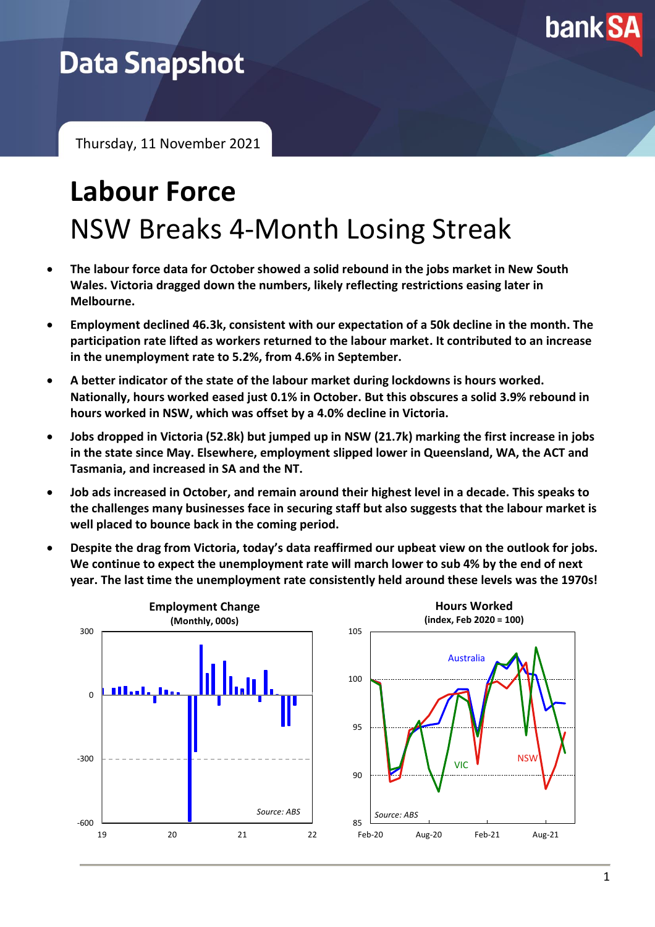

## **Data Snapshot**

Thursday, 11 November 2021

# **Labour Force** NSW Breaks 4-Month Losing Streak

- **The labour force data for October showed a solid rebound in the jobs market in New South Wales. Victoria dragged down the numbers, likely reflecting restrictions easing later in Melbourne.**
- **Employment declined 46.3k, consistent with our expectation of a 50k decline in the month. The participation rate lifted as workers returned to the labour market. It contributed to an increase in the unemployment rate to 5.2%, from 4.6% in September.**
- **A better indicator of the state of the labour market during lockdowns is hours worked. Nationally, hours worked eased just 0.1% in October. But this obscures a solid 3.9% rebound in hours worked in NSW, which was offset by a 4.0% decline in Victoria.**
- **Jobs dropped in Victoria (52.8k) but jumped up in NSW (21.7k) marking the first increase in jobs in the state since May. Elsewhere, employment slipped lower in Queensland, WA, the ACT and Tasmania, and increased in SA and the NT.**
- **Job ads increased in October, and remain around their highest level in a decade. This speaks to the challenges many businesses face in securing staff but also suggests that the labour market is well placed to bounce back in the coming period.**
- **Despite the drag from Victoria, today's data reaffirmed our upbeat view on the outlook for jobs. We continue to expect the unemployment rate will march lower to sub 4% by the end of next year. The last time the unemployment rate consistently held around these levels was the 1970s!**

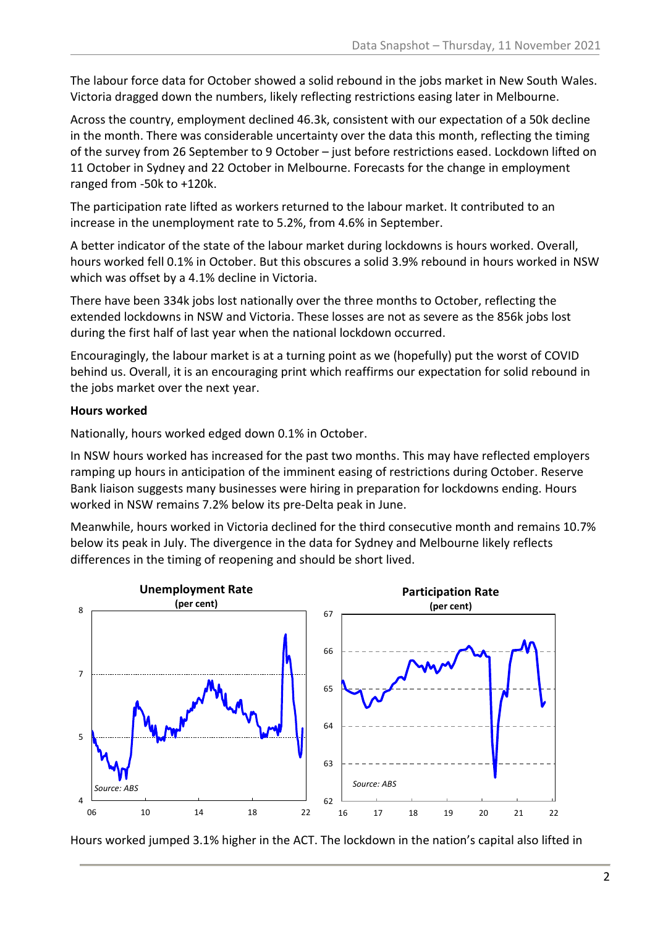The labour force data for October showed a solid rebound in the jobs market in New South Wales. Victoria dragged down the numbers, likely reflecting restrictions easing later in Melbourne.

Across the country, employment declined 46.3k, consistent with our expectation of a 50k decline in the month. There was considerable uncertainty over the data this month, reflecting the timing of the survey from 26 September to 9 October – just before restrictions eased. Lockdown lifted on 11 October in Sydney and 22 October in Melbourne. Forecasts for the change in employment ranged from -50k to +120k.

The participation rate lifted as workers returned to the labour market. It contributed to an increase in the unemployment rate to 5.2%, from 4.6% in September.

A better indicator of the state of the labour market during lockdowns is hours worked. Overall, hours worked fell 0.1% in October. But this obscures a solid 3.9% rebound in hours worked in NSW which was offset by a 4.1% decline in Victoria.

There have been 334k jobs lost nationally over the three months to October, reflecting the extended lockdowns in NSW and Victoria. These losses are not as severe as the 856k jobs lost during the first half of last year when the national lockdown occurred.

Encouragingly, the labour market is at a turning point as we (hopefully) put the worst of COVID behind us. Overall, it is an encouraging print which reaffirms our expectation for solid rebound in the jobs market over the next year.

#### **Hours worked**

Nationally, hours worked edged down 0.1% in October.

In NSW hours worked has increased for the past two months. This may have reflected employers ramping up hours in anticipation of the imminent easing of restrictions during October. Reserve Bank liaison suggests many businesses were hiring in preparation for lockdowns ending. Hours worked in NSW remains 7.2% below its pre-Delta peak in June.

Meanwhile, hours worked in Victoria declined for the third consecutive month and remains 10.7% below its peak in July. The divergence in the data for Sydney and Melbourne likely reflects differences in the timing of reopening and should be short lived.



Hours worked jumped 3.1% higher in the ACT. The lockdown in the nation's capital also lifted in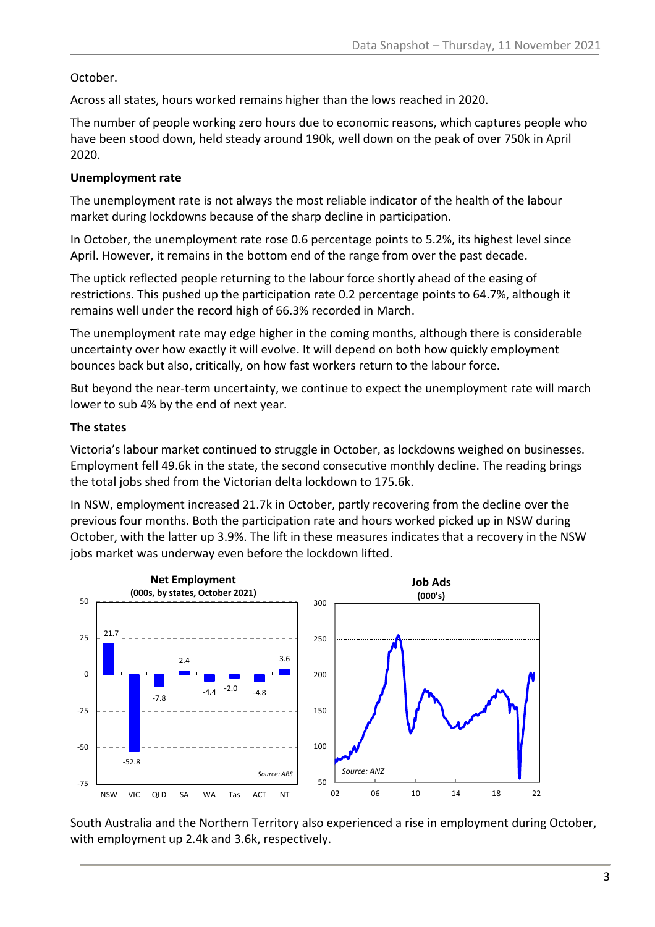#### October.

Across all states, hours worked remains higher than the lows reached in 2020.

The number of people working zero hours due to economic reasons, which captures people who have been stood down, held steady around 190k, well down on the peak of over 750k in April 2020.

#### **Unemployment rate**

The unemployment rate is not always the most reliable indicator of the health of the labour market during lockdowns because of the sharp decline in participation.

In October, the unemployment rate rose 0.6 percentage points to 5.2%, its highest level since April. However, it remains in the bottom end of the range from over the past decade.

The uptick reflected people returning to the labour force shortly ahead of the easing of restrictions. This pushed up the participation rate 0.2 percentage points to 64.7%, although it remains well under the record high of 66.3% recorded in March.

The unemployment rate may edge higher in the coming months, although there is considerable uncertainty over how exactly it will evolve. It will depend on both how quickly employment bounces back but also, critically, on how fast workers return to the labour force.

But beyond the near-term uncertainty, we continue to expect the unemployment rate will march lower to sub 4% by the end of next year.

#### **The states**

Victoria's labour market continued to struggle in October, as lockdowns weighed on businesses. Employment fell 49.6k in the state, the second consecutive monthly decline. The reading brings the total jobs shed from the Victorian delta lockdown to 175.6k.

In NSW, employment increased 21.7k in October, partly recovering from the decline over the previous four months. Both the participation rate and hours worked picked up in NSW during October, with the latter up 3.9%. The lift in these measures indicates that a recovery in the NSW jobs market was underway even before the lockdown lifted.



South Australia and the Northern Territory also experienced a rise in employment during October, with employment up 2.4k and 3.6k, respectively.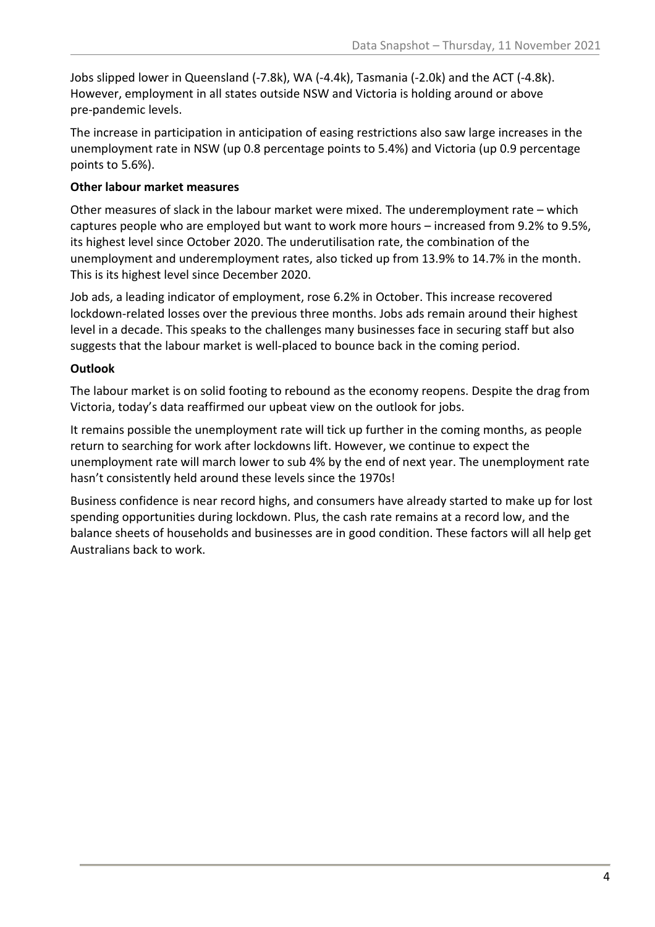Jobs slipped lower in Queensland (-7.8k), WA (-4.4k), Tasmania (-2.0k) and the ACT (-4.8k). However, employment in all states outside NSW and Victoria is holding around or above pre-pandemic levels.

The increase in participation in anticipation of easing restrictions also saw large increases in the unemployment rate in NSW (up 0.8 percentage points to 5.4%) and Victoria (up 0.9 percentage points to 5.6%).

#### **Other labour market measures**

Other measures of slack in the labour market were mixed. The underemployment rate – which captures people who are employed but want to work more hours – increased from 9.2% to 9.5%, its highest level since October 2020. The underutilisation rate, the combination of the unemployment and underemployment rates, also ticked up from 13.9% to 14.7% in the month. This is its highest level since December 2020.

Job ads, a leading indicator of employment, rose 6.2% in October. This increase recovered lockdown-related losses over the previous three months. Jobs ads remain around their highest level in a decade. This speaks to the challenges many businesses face in securing staff but also suggests that the labour market is well-placed to bounce back in the coming period.

#### **Outlook**

The labour market is on solid footing to rebound as the economy reopens. Despite the drag from Victoria, today's data reaffirmed our upbeat view on the outlook for jobs.

It remains possible the unemployment rate will tick up further in the coming months, as people return to searching for work after lockdowns lift. However, we continue to expect the unemployment rate will march lower to sub 4% by the end of next year. The unemployment rate hasn't consistently held around these levels since the 1970s!

Business confidence is near record highs, and consumers have already started to make up for lost spending opportunities during lockdown. Plus, the cash rate remains at a record low, and the balance sheets of households and businesses are in good condition. These factors will all help get Australians back to work.